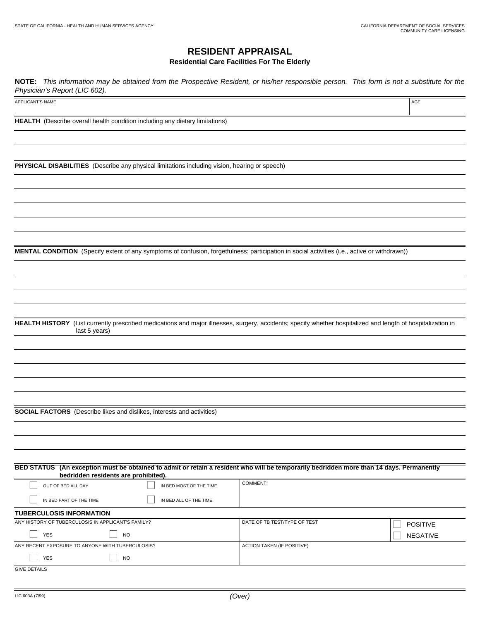AGE

## **RESIDENT APPRAISAL**

**Residential Care Facilities For The Elderly**

**NOTE:** This information may be obtained from the Prospective Resident, or his/her responsible person. This form is not a substitute for the Physician's Report (LIC 602).

APPLICANT'S NAME

**HEALTH** (Describe overall health condition including any dietary limitations)

**PHYSICAL DISABILITIES** (Describe any physical limitations including vision, hearing or speech)

**MENTAL CONDITION** (Specify extent of any symptoms of confusion, forgetfulness: participation in social activities (i.e., active or withdrawn))

**HEALTH HISTORY** (List currently prescribed medications and major illnesses, surgery, accidents; specify whether hospitalized and length of hospitalization in last 5 years)

**SOCIAL FACTORS** (Describe likes and dislikes, interests and activities)

| bedridden residents are prohibited).               |                         | BED STATUS (An exception must be obtained to admit or retain a resident who will be temporarily bedridden more than 14 days. Permanently |                 |
|----------------------------------------------------|-------------------------|------------------------------------------------------------------------------------------------------------------------------------------|-----------------|
| OUT OF BED ALL DAY                                 | IN BED MOST OF THE TIME | <b>COMMENT:</b>                                                                                                                          |                 |
| IN BED PART OF THE TIME                            | IN BED ALL OF THE TIME  |                                                                                                                                          |                 |
| <b>TUBERCULOSIS INFORMATION</b>                    |                         |                                                                                                                                          |                 |
| ANY HISTORY OF TUBERCULOSIS IN APPLICANT'S FAMILY? |                         | DATE OF TB TEST/TYPE OF TEST                                                                                                             | <b>POSITIVE</b> |
| <b>YES</b><br><b>NO</b>                            |                         |                                                                                                                                          | <b>NEGATIVE</b> |
| ANY RECENT EXPOSURE TO ANYONE WITH TUBERCULOSIS?   |                         | <b>ACTION TAKEN (IF POSITIVE)</b>                                                                                                        |                 |
| <b>YES</b><br><b>NO</b>                            |                         |                                                                                                                                          |                 |
| <b>GIVE DETAILS</b>                                |                         |                                                                                                                                          |                 |